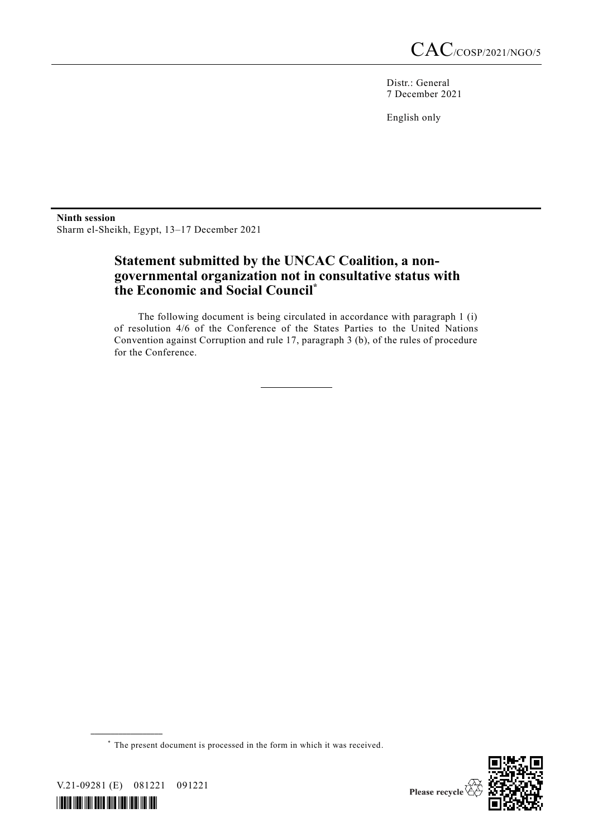Distr.: General 7 December 2021

English only

**Ninth session** Sharm el-Sheikh, Egypt, 13–17 December 2021

## **Statement submitted by the UNCAC Coalition, a nongovernmental organization not in consultative status with the Economic and Social Council\***

The following document is being circulated in accordance with paragraph 1 (i) of resolution 4/6 of the Conference of the States Parties to the United Nations Convention against Corruption and rule 17, paragraph 3 (b), of the rules of procedure for the Conference.

\* The present document is processed in the form in which it was received.



V.21-09281 (E) 081221 091221

**\_\_\_\_\_\_\_\_\_\_\_\_\_\_\_\_\_\_**

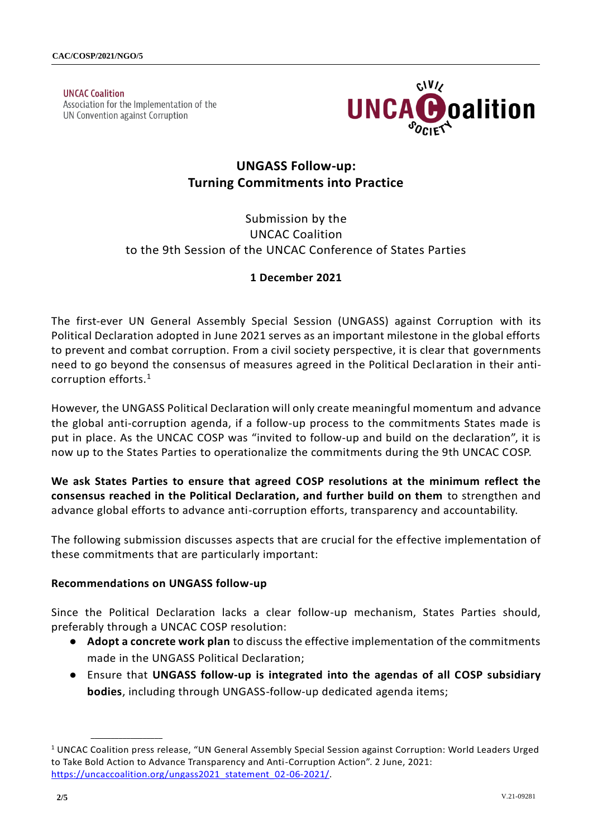**UNCAC Coalition** Association for the Implementation of the UN Convention against Corruption



# **UNGASS Follow-up: Turning Commitments into Practice**

## Submission by the UNCAC Coalition to the 9th Session of the UNCAC Conference of States Parties

### **1 December 2021**

The first-ever UN General Assembly Special Session (UNGASS) against Corruption with its Political Declaration adopted in June 2021 serves as an important milestone in the global efforts to prevent and combat corruption. From a civil society perspective, it is clear that governments need to go beyond the consensus of measures agreed in the Political Declaration in their anticorruption efforts.<sup>1</sup>

However, the UNGASS Political Declaration will only create meaningful momentum and advance the global anti-corruption agenda, if a follow-up process to the commitments States made is put in place. As the UNCAC COSP was "invited to follow-up and build on the declaration", it is now up to the States Parties to operationalize the commitments during the 9th UNCAC COSP.

**We ask States Parties to ensure that agreed COSP resolutions at the minimum reflect the consensus reached in the Political Declaration, and further build on them** to strengthen and advance global efforts to advance anti-corruption efforts, transparency and accountability.

The following submission discusses aspects that are crucial for the effective implementation of these commitments that are particularly important:

#### **Recommendations on UNGASS follow-up**

**\_\_\_\_\_\_\_\_\_\_\_\_\_\_\_\_\_\_**

Since the Political Declaration lacks a clear follow-up mechanism, States Parties should, preferably through a UNCAC COSP resolution:

- **Adopt a concrete work plan** to discuss the effective implementation of the commitments made in the UNGASS Political Declaration;
- Ensure that **UNGASS follow-up is integrated into the agendas of all COSP subsidiary bodies**, including through UNGASS-follow-up dedicated agenda items;

<sup>&</sup>lt;sup>1</sup> UNCAC Coalition press release, "UN General Assembly Special Session against Corruption: World Leaders Urged to Take Bold Action to Advance Transparency and Anti-Corruption Action". 2 June, 2021: [https://uncaccoalition.org/ungass2021\\_statement\\_02-06-2021/.](https://uncaccoalition.org/ungass2021_statement_02-06-2021/)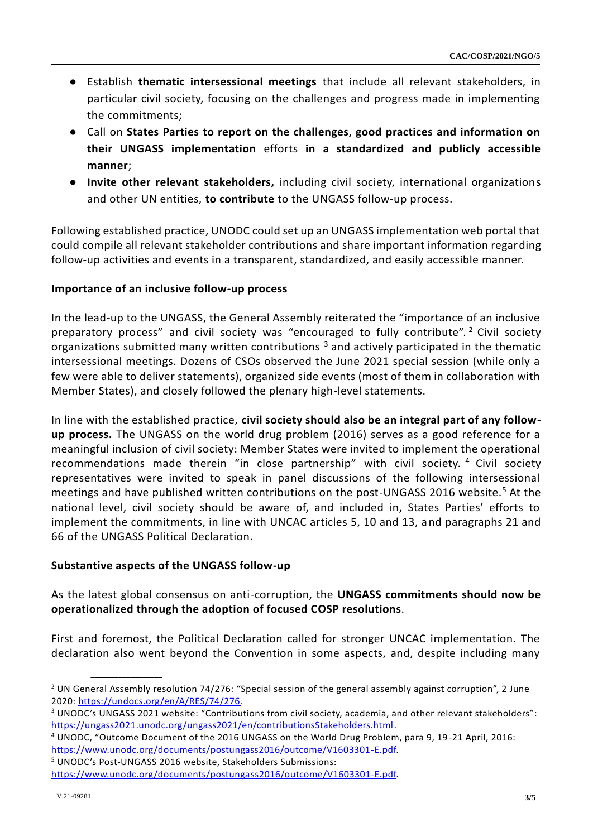- Establish **thematic intersessional meetings** that include all relevant stakeholders, in particular civil society, focusing on the challenges and progress made in implementing the commitments;
- Call on **States Parties to report on the challenges, good practices and information on their UNGASS implementation** efforts **in a standardized and publicly accessible manner**;
- **Invite other relevant stakeholders,** including civil society, international organizations and other UN entities, **to contribute** to the UNGASS follow-up process.

Following established practice, UNODC could set up an UNGASS implementation web portal that could compile all relevant stakeholder contributions and share important information regarding follow-up activities and events in a transparent, standardized, and easily accessible manner.

#### **Importance of an inclusive follow-up process**

In the lead-up to the UNGASS, the General Assembly reiterated the "importance of an inclusive preparatory process" and civil society was "encouraged to fully contribute". <sup>2</sup> Civil society organizations submitted many written contributions  $3$  and actively participated in the thematic intersessional meetings. Dozens of CSOs observed the June 2021 special session (while only a few were able to deliver statements), organized side events (most of them in collaboration with Member States), and closely followed the plenary high-level statements.

In line with the established practice, **civil society should also be an integral part of any followup process.** The UNGASS on the world drug problem (2016) serves as a good reference for a meaningful inclusion of civil society: Member States were invited to implement the operational recommendations made therein "in close partnership" with civil society. <sup>4</sup> Civil society representatives were invited to speak in panel discussions of the following intersessional meetings and have published written contributions on the post-UNGASS 2016 website.<sup>5</sup> At the national level, civil society should be aware of, and included in, States Parties' efforts to implement the commitments, in line with UNCAC articles 5, 10 and 13, and paragraphs 21 and 66 of the UNGASS Political Declaration.

#### **Substantive aspects of the UNGASS follow-up**

**\_\_\_\_\_\_\_\_\_\_\_\_\_\_\_\_\_\_**

As the latest global consensus on anti-corruption, the **UNGASS commitments should now be operationalized through the adoption of focused COSP resolutions**.

First and foremost, the Political Declaration called for stronger UNCAC implementation. The declaration also went beyond the Convention in some aspects, and, despite including many

<sup>5</sup> UNODC's Post-UNGASS 2016 website, Stakeholders Submissions:

<sup>&</sup>lt;sup>2</sup> UN General Assembly resolution 74/276: "Special session of the general assembly against corruption", 2 June 2020: [https://undocs.org/en/A/RES/74/276.](https://undocs.org/en/A/RES/74/276)

<sup>&</sup>lt;sup>3</sup> UNODC's UNGASS 2021 website: "Contributions from civil society, academia, and other relevant stakeholders": [https://ungass2021.unodc.org/ungass2021/en/contributionsStakeholders.html.](https://ungass2021.unodc.org/ungass2021/en/contributionsStakeholders.html)

<sup>4</sup> UNODC, "Outcome Document of the 2016 UNGASS on the World Drug Problem, para 9, 19-21 April, 2016: [https://www.unodc.org/documents/postungass2016/outcome/V1603301-E.pdf.](https://www.unodc.org/documents/postungass2016/outcome/V1603301-E.pdf)

[https://www.unodc.org/documents/postungass2016/outcome/V1603301-E.pdf.](https://www.unodc.org/documents/postungass2016/outcome/V1603301-E.pdf)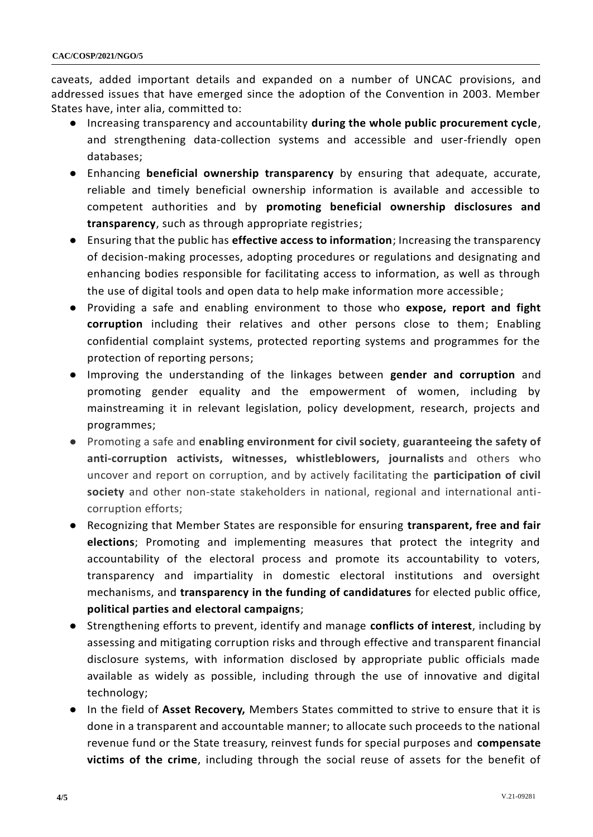caveats, added important details and expanded on a number of UNCAC provisions, and addressed issues that have emerged since the adoption of the Convention in 2003. Member States have, inter alia, committed to:

- Increasing transparency and accountability **during the whole public procurement cycle**, and strengthening data-collection systems and accessible and user-friendly open databases;
- Enhancing **beneficial ownership transparency** by ensuring that adequate, accurate, reliable and timely beneficial ownership information is available and accessible to competent authorities and by **promoting beneficial ownership disclosures and transparency**, such as through appropriate registries;
- Ensuring that the public has **effective access to information**; Increasing the transparency of decision-making processes, adopting procedures or regulations and designating and enhancing bodies responsible for facilitating access to information, as well as through the use of digital tools and open data to help make information more accessible;
- Providing a safe and enabling environment to those who **expose, report and fight corruption** including their relatives and other persons close to them; Enabling confidential complaint systems, protected reporting systems and programmes for the protection of reporting persons;
- Improving the understanding of the linkages between **gender and corruption** and promoting gender equality and the empowerment of women, including by mainstreaming it in relevant legislation, policy development, research, projects and programmes;
- Promoting a safe and **enabling environment for civil society**, **guaranteeing the safety of anti-corruption activists, witnesses, whistleblowers, journalists** and others who uncover and report on corruption, and by actively facilitating the **participation of civil society** and other non-state stakeholders in national, regional and international anticorruption efforts;
- Recognizing that Member States are responsible for ensuring **transparent, free and fair elections**; Promoting and implementing measures that protect the integrity and accountability of the electoral process and promote its accountability to voters, transparency and impartiality in domestic electoral institutions and oversight mechanisms, and **transparency in the funding of candidatures** for elected public office, **political parties and electoral campaigns**;
- Strengthening efforts to prevent, identify and manage **conflicts of interest**, including by assessing and mitigating corruption risks and through effective and transparent financial disclosure systems, with information disclosed by appropriate public officials made available as widely as possible, including through the use of innovative and digital technology;
- In the field of **Asset Recovery,** Members States committed to strive to ensure that it is done in a transparent and accountable manner; to allocate such proceeds to the national revenue fund or the State treasury, reinvest funds for special purposes and **compensate victims of the crime**, including through the social reuse of assets for the benefit of